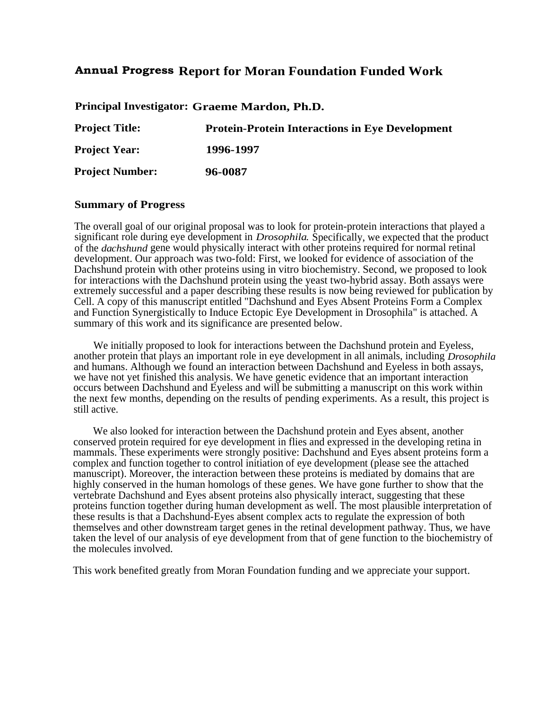## **Annual Progress Report for Moran Foundation Funded Work**

| Principal Investigator: Graeme Mardon, Ph.D. |                                                        |
|----------------------------------------------|--------------------------------------------------------|
| <b>Project Title:</b>                        | <b>Protein-Protein Interactions in Eye Development</b> |
| <b>Project Year:</b>                         | 1996-1997                                              |
| <b>Project Number:</b>                       | 96-0087                                                |

## **Summary of Progress**

The overall goal of our original proposal was to look for protein-protein interactions that played a significant role during eye development in *Drosophila.* Specifically, we expected that the product of the *dachshund* gene would physically interact with other proteins required for normal retinal development. Our approach was two-fold: First, we looked for evidence of association of the Dachshund protein with other proteins using in vitro biochemistry. Second, we proposed to look for interactions with the Dachshund protein using the yeast two-hybrid assay. Both assays were extremely successful and a paper describing these results is now being reviewed for publication by Cell. A copy of this manuscript entitled "Dachshund and Eyes Absent Proteins Form a Complex and Function Synergistically to Induce Ectopic Eye Development in Drosophila" is attached. A summary of this work and its significance are presented below.

We initially proposed to look for interactions between the Dachshund protein and Eyeless, another protein that plays an important role in eye development in all animals, including *Drosophila* and humans. Although we found an interaction between Dachshund and Eyeless in both assays, we have not yet finished this analysis. We have genetic evidence that an important interaction occurs between Dachshund and Eyeless and will be submitting a manuscript on this work within the next few months, depending on the results of pending experiments. As a result, this project is still active.

We also looked for interaction between the Dachshund protein and Eyes absent, another conserved protein required for eye development in flies and expressed in the developing retina in mammals. These experiments were strongly positive: Dachshund and Eyes absent proteins form a complex and function together to control initiation of eye development (please see the attached manuscript). Moreover, the interaction between these proteins is mediated by domains that are highly conserved in the human homologs of these genes. We have gone further to show that the vertebrate Dachshund and Eyes absent proteins also physically interact, suggesting that these proteins function together during human development as well. The most plausible interpretation of these results is that a Dachshund-Eyes absent complex acts to regulate the expression of both themselves and other downstream target genes in the retinal development pathway. Thus, we have taken the level of our analysis of eye development from that of gene function to the biochemistry of the molecules involved.

This work benefited greatly from Moran Foundation funding and we appreciate your support.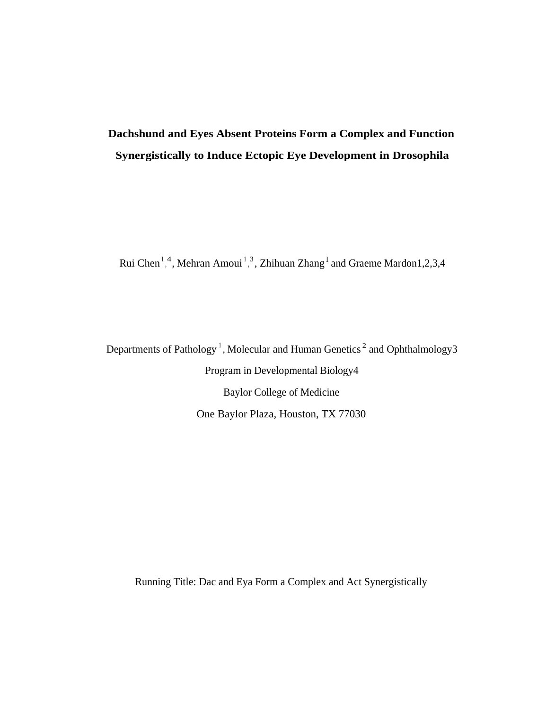# **Dachshund and Eyes Absent Proteins Form a Complex and Function Synergistically to Induce Ectopic Eye Development in Drosophila**

Rui Chen<sup>1</sup>,<sup>4</sup>, Mehran Amoui<sup>1</sup>,<sup>3</sup>, Zhihuan Zhang<sup>1</sup> and Graeme Mardon1,2,3,4

Departments of Pathology<sup>1</sup>, Molecular and Human Genetics<sup>2</sup> and Ophthalmology3 Program in Developmental Biology4 Baylor College of Medicine One Baylor Plaza, Houston, TX 77030

Running Title: Dac and Eya Form a Complex and Act Synergistically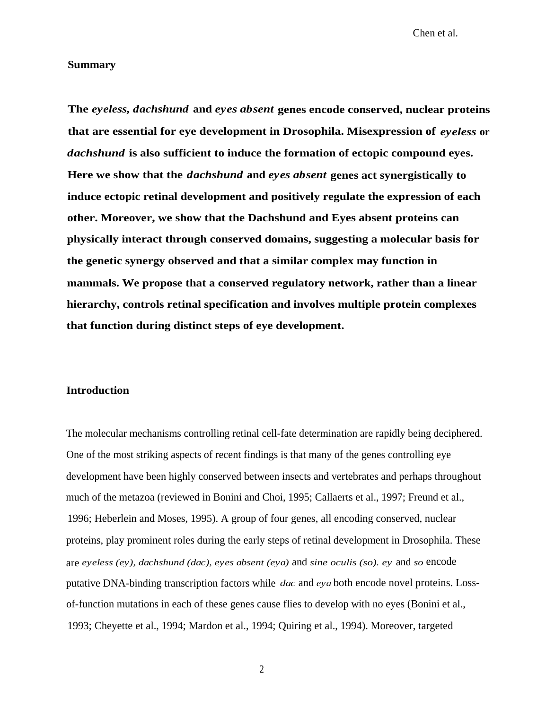#### **Summary**

**The** *eyeless, dachshund* **and** *eyes absent* **genes encode conserved, nuclear proteins that are essential for eye development in Drosophila. Misexpression of** *eyeless* **or** *dachshund* **is also sufficient to induce the formation of ectopic compound eyes. Here we show that the** *dachshund* **and** *eyes absent* **genes act synergistically to induce ectopic retinal development and positively regulate the expression of each other. Moreover, we show that the Dachshund and Eyes absent proteins can physically interact through conserved domains, suggesting a molecular basis for the genetic synergy observed and that a similar complex may function in mammals. We propose that a conserved regulatory network, rather than a linear hierarchy, controls retinal specification and involves multiple protein complexes that function during distinct steps of eye development.**

#### **Introduction**

The molecular mechanisms controlling retinal cell-fate determination are rapidly being deciphered. One of the most striking aspects of recent findings is that many of the genes controlling eye development have been highly conserved between insects and vertebrates and perhaps throughout much of the metazoa (reviewed in Bonini and Choi, 1995; Callaerts et al., 1997; Freund et al., 1996; Heberlein and Moses, 1995). A group of four genes, all encoding conserved, nuclear proteins, play prominent roles during the early steps of retinal development in Drosophila. These are *eyeless (ey), dachshund (dac), eyes absent (eya)* and *sine oculis (so). ey* and *so* encode putative DNA-binding transcription factors while *dac* and *eya* both encode novel proteins. Lossof-function mutations in each of these genes cause flies to develop with no eyes (Bonini et al., 1993; Cheyette et al., 1994; Mardon et al., 1994; Quiring et al., 1994). Moreover, targeted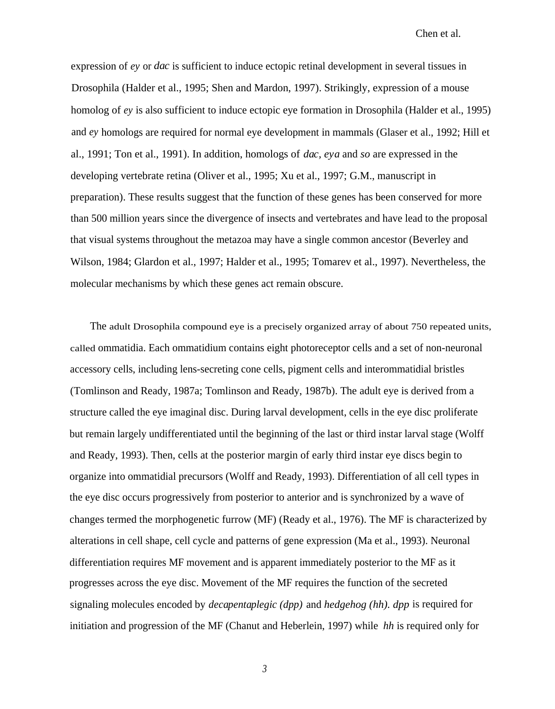expression of *ey* or *dac* is sufficient to induce ectopic retinal development in several tissues in Drosophila (Halder et al., 1995; Shen and Mardon, 1997). Strikingly, expression of a mouse homolog of *ey* is also sufficient to induce ectopic eye formation in Drosophila (Halder et al., 1995) and *ey* homologs are required for normal eye development in mammals (Glaser et al., 1992; Hill et al., 1991; Ton et al., 1991). In addition, homologs of *dac, eya* and *so* are expressed in the developing vertebrate retina (Oliver et al., 1995; Xu et al., 1997; G.M., manuscript in preparation). These results suggest that the function of these genes has been conserved for more than 500 million years since the divergence of insects and vertebrates and have lead to the proposal that visual systems throughout the metazoa may have a single common ancestor (Beverley and Wilson, 1984; Glardon et al., 1997; Halder et al., 1995; Tomarev et al., 1997). Nevertheless, the molecular mechanisms by which these genes act remain obscure.

The adult Drosophila compound eye is a precisely organized array of about 750 repeated units, called ommatidia. Each ommatidium contains eight photoreceptor cells and a set of non-neuronal accessory cells, including lens-secreting cone cells, pigment cells and interommatidial bristles (Tomlinson and Ready, 1987a; Tomlinson and Ready, 1987b). The adult eye is derived from a structure called the eye imaginal disc. During larval development, cells in the eye disc proliferate but remain largely undifferentiated until the beginning of the last or third instar larval stage (Wolff and Ready, 1993). Then, cells at the posterior margin of early third instar eye discs begin to organize into ommatidial precursors (Wolff and Ready, 1993). Differentiation of all cell types in the eye disc occurs progressively from posterior to anterior and is synchronized by a wave of changes termed the morphogenetic furrow (MF) (Ready et al., 1976). The MF is characterized by alterations in cell shape, cell cycle and patterns of gene expression (Ma et al., 1993). Neuronal differentiation requires MF movement and is apparent immediately posterior to the MF as it progresses across the eye disc. Movement of the MF requires the function of the secreted signaling molecules encoded by *decapentaplegic (dpp)* and *hedgehog (hh). dpp* is required for initiation and progression of the MF (Chanut and Heberlein, 1997) while *hh* is required only for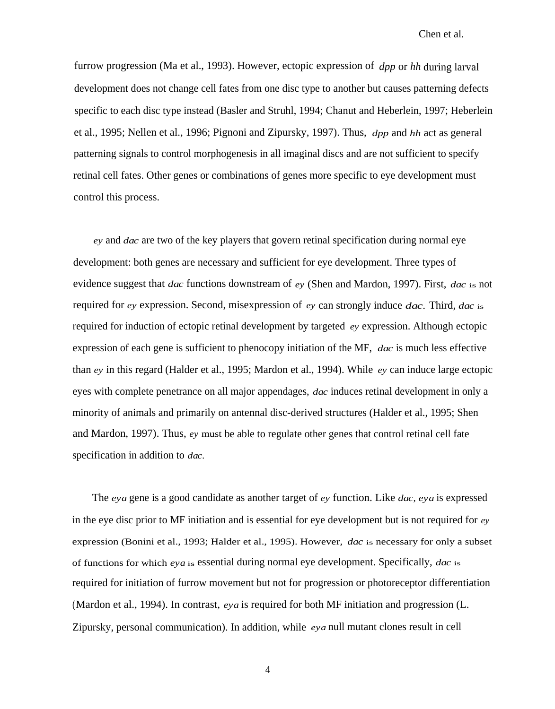furrow progression (Ma et al., 1993). However, ectopic expression of *dpp* or *hh* during larval development does not change cell fates from one disc type to another but causes patterning defects specific to each disc type instead (Basler and Struhl, 1994; Chanut and Heberlein, 1997; Heberlein et al., 1995; Nellen et al., 1996; Pignoni and Zipursky, 1997). Thus, *dpp* and *hh* act as general patterning signals to control morphogenesis in all imaginal discs and are not sufficient to specify retinal cell fates. Other genes or combinations of genes more specific to eye development must control this process.

*ey* and *dac* are two of the key players that govern retinal specification during normal eye development: both genes are necessary and sufficient for eye development. Three types of evidence suggest that *dac* functions downstream of *ey* (Shen and Mardon, 1997). First, *dac* is not required for *ey* expression. Second, misexpression of *ey* can strongly induce *dac.* Third, *dac* is required for induction of ectopic retinal development by targeted *ey* expression. Although ectopic expression of each gene is sufficient to phenocopy initiation of the MF, *dac* is much less effective than *ey* in this regard (Halder et al., 1995; Mardon et al., 1994). While *ey* can induce large ectopic eyes with complete penetrance on all major appendages, *dac* induces retinal development in only a minority of animals and primarily on antennal disc-derived structures (Halder et al., 1995; Shen and Mardon, 1997). Thus, *ey* must be able to regulate other genes that control retinal cell fate specification in addition to *dac.*

The *eya* gene is a good candidate as another target of *ey* function. Like *dac, eya* is expressed in the eye disc prior to MF initiation and is essential for eye development but is not required for *ey* expression (Bonini et al., 1993; Halder et al., 1995). However, *dac* is necessary for only a subset of functions for which *eya* is essential during normal eye development. Specifically, *dac* is required for initiation of furrow movement but not for progression or photoreceptor differentiation (Mardon et al., 1994). In contrast, *eya* is required for both MF initiation and progression (L. Zipursky, personal communication). In addition, while *eya* null mutant clones result in cell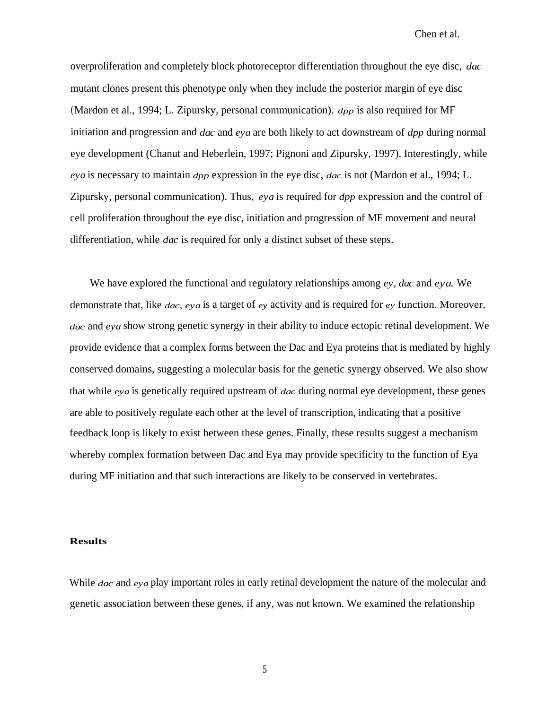overproliferation and completely block photoreceptor differentiation throughout the eye disc, *dac* mutant clones present this phenotype only when they include the posterior margin of eye disc (Mardon et al., 1994; L. Zipursky, personal communication). *dpp* is also required for MF initiation and progression and *dac* and *eya* are both likely to act downstream of *dpp* during normal eye development (Chanut and Heberlein, 1997; Pignoni and Zipursky, 1997). Interestingly, while *eya* is necessary to maintain *dpp* expression in the eye disc, *dac* is not (Mardon et al., 1994; L. Zipursky, personal communication). Thus, *eya* is required for *dpp* expression and the control of cell proliferation throughout the eye disc, initiation and progression of MF movement and neural differentiation, while *dac* is required for only a distinct subset of these steps.

We have explored the functional and regulatory relationships among *ey, dac* and *eya.* We demonstrate that, like *dac, eya* is a target of *ey* activity and is required for *ey* function. Moreover, *dac* and *eya* show strong genetic synergy in their ability to induce ectopic retinal development. We provide evidence that a complex forms between the Dac and Eya proteins that is mediated by highly conserved domains, suggesting a molecular basis for the genetic synergy observed. We also show that while *eya* is genetically required upstream of *dac* during normal eye development, these genes are able to positively regulate each other at the level of transcription, indicating that a positive feedback loop is likely to exist between these genes. Finally, these results suggest a mechanism whereby complex formation between Dac and Eya may provide specificity to the function of Eya during MF initiation and that such interactions are likely to be conserved in vertebrates.

#### **Results**

While *dac* and *eya* play important roles in early retinal development the nature of the molecular and genetic association between these genes, if any, was not known. We examined the relationship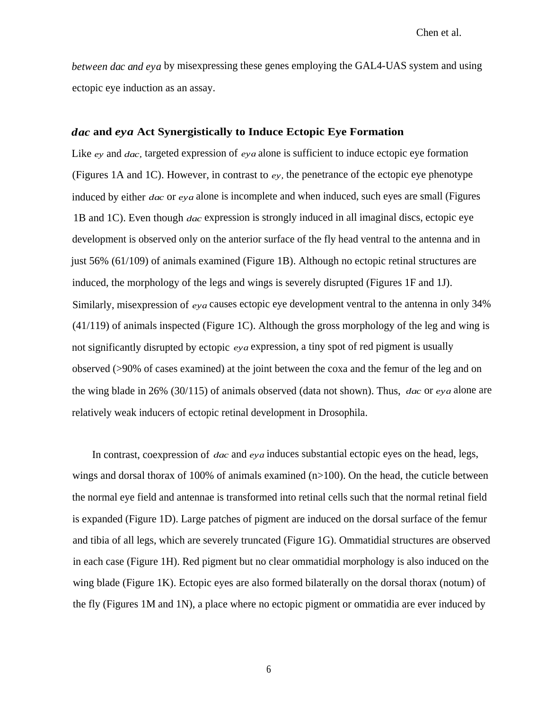*between dac and eya* by misexpressing these genes employing the GAL4-UAS system and using ectopic eye induction as an assay.

## *dac* **and** *eya* **Act Synergistically to Induce Ectopic Eye Formation**

Like *ey* and *dac,* targeted expression of *eya* alone is sufficient to induce ectopic eye formation (Figures 1A and 1C). However, in contrast to  $e_y$ , the penetrance of the ectopic eye phenotype induced by either *dac* or *eya* alone is incomplete and when induced, such eyes are small (Figures 1B and 1C). Even though *dac* expression is strongly induced in all imaginal discs, ectopic eye development is observed only on the anterior surface of the fly head ventral to the antenna and in just 56% (61/109) of animals examined (Figure 1B). Although no ectopic retinal structures are induced, the morphology of the legs and wings is severely disrupted (Figures 1F and 1J). Similarly, misexpression of *eya* causes ectopic eye development ventral to the antenna in only 34% (41/119) of animals inspected (Figure 1C). Although the gross morphology of the leg and wing is not significantly disrupted by ectopic *eya* expression, a tiny spot of red pigment is usually observed (>90% of cases examined) at the joint between the coxa and the femur of the leg and on the wing blade in 26% (30/115) of animals observed (data not shown). Thus, *dac* or *eya* alone are relatively weak inducers of ectopic retinal development in Drosophila.

In contrast, coexpression of *dac* and *eya* induces substantial ectopic eyes on the head, legs, wings and dorsal thorax of 100% of animals examined (n>100). On the head, the cuticle between the normal eye field and antennae is transformed into retinal cells such that the normal retinal field is expanded (Figure 1D). Large patches of pigment are induced on the dorsal surface of the femur and tibia of all legs, which are severely truncated (Figure 1G). Ommatidial structures are observed in each case (Figure 1H). Red pigment but no clear ommatidial morphology is also induced on the wing blade (Figure 1K). Ectopic eyes are also formed bilaterally on the dorsal thorax (notum) of the fly (Figures 1M and 1N), a place where no ectopic pigment or ommatidia are ever induced by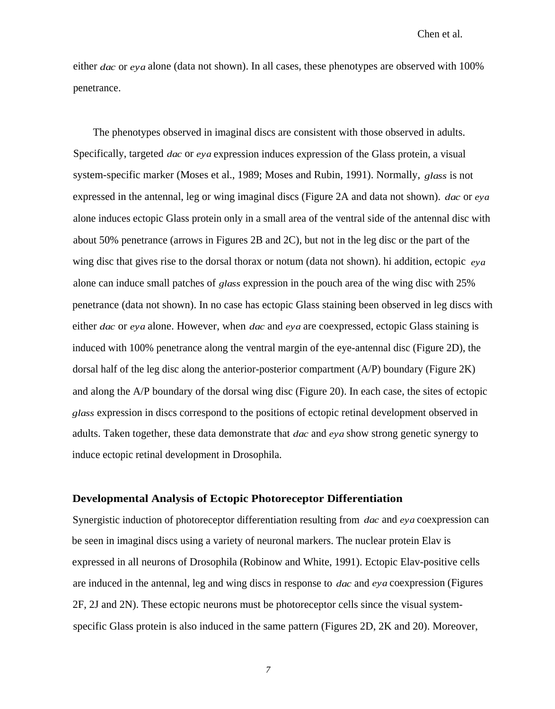either *dac* or *eya* alone (data not shown). In all cases, these phenotypes are observed with 100% penetrance.

The phenotypes observed in imaginal discs are consistent with those observed in adults. Specifically, targeted *dac* or *eya* expression induces expression of the Glass protein, a visual system-specific marker (Moses et al., 1989; Moses and Rubin, 1991). Normally, *glass* is not expressed in the antennal, leg or wing imaginal discs (Figure 2A and data not shown). *dac* or *eya* alone induces ectopic Glass protein only in a small area of the ventral side of the antennal disc with about 50% penetrance (arrows in Figures 2B and 2C), but not in the leg disc or the part of the wing disc that gives rise to the dorsal thorax or notum (data not shown). hi addition, ectopic *eya* alone can induce small patches of *glass* expression in the pouch area of the wing disc with 25% penetrance (data not shown). In no case has ectopic Glass staining been observed in leg discs with either *dac* or *eya* alone. However, when *dac* and *eya* are coexpressed, ectopic Glass staining is induced with 100% penetrance along the ventral margin of the eye-antennal disc (Figure 2D), the dorsal half of the leg disc along the anterior-posterior compartment (A/P) boundary (Figure 2K) and along the A/P boundary of the dorsal wing disc (Figure 20). In each case, the sites of ectopic *glass* expression in discs correspond to the positions of ectopic retinal development observed in adults. Taken together, these data demonstrate that *dac* and *eya* show strong genetic synergy to induce ectopic retinal development in Drosophila.

#### **Developmental Analysis of Ectopic Photoreceptor Differentiation**

Synergistic induction of photoreceptor differentiation resulting from *dac* and *eya* coexpression can be seen in imaginal discs using a variety of neuronal markers. The nuclear protein Elav is expressed in all neurons of Drosophila (Robinow and White, 1991). Ectopic Elav-positive cells are induced in the antennal, leg and wing discs in response to *dac* and *eya* coexpression (Figures 2F, 2J and 2N). These ectopic neurons must be photoreceptor cells since the visual systemspecific Glass protein is also induced in the same pattern (Figures 2D, 2K and 20). Moreover,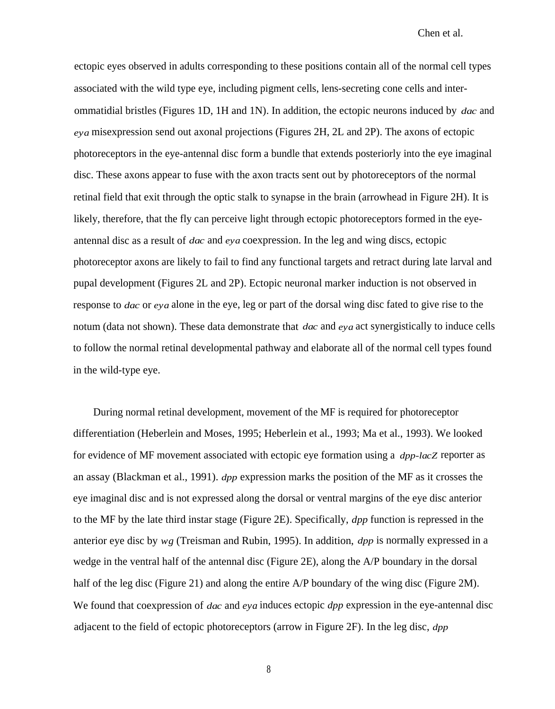ectopic eyes observed in adults corresponding to these positions contain all of the normal cell types associated with the wild type eye, including pigment cells, lens-secreting cone cells and interommatidial bristles (Figures 1D, 1H and 1N). In addition, the ectopic neurons induced by *dac* and *eya* misexpression send out axonal projections (Figures 2H, 2L and 2P). The axons of ectopic photoreceptors in the eye-antennal disc form a bundle that extends posteriorly into the eye imaginal disc. These axons appear to fuse with the axon tracts sent out by photoreceptors of the normal retinal field that exit through the optic stalk to synapse in the brain (arrowhead in Figure 2H). It is likely, therefore, that the fly can perceive light through ectopic photoreceptors formed in the eyeantennal disc as a result of *dac* and *eya* coexpression. In the leg and wing discs, ectopic photoreceptor axons are likely to fail to find any functional targets and retract during late larval and pupal development (Figures 2L and 2P). Ectopic neuronal marker induction is not observed in response to *dac* or *eya* alone in the eye, leg or part of the dorsal wing disc fated to give rise to the notum (data not shown). These data demonstrate that *dac* and *eya* act synergistically to induce cells to follow the normal retinal developmental pathway and elaborate all of the normal cell types found in the wild-type eye.

During normal retinal development, movement of the MF is required for photoreceptor differentiation (Heberlein and Moses, 1995; Heberlein et al., 1993; Ma et al., 1993). We looked for evidence of MF movement associated with ectopic eye formation using a *dpp-lacZ* reporter as an assay (Blackman et al., 1991). *dpp* expression marks the position of the MF as it crosses the eye imaginal disc and is not expressed along the dorsal or ventral margins of the eye disc anterior to the MF by the late third instar stage (Figure 2E). Specifically, *dpp* function is repressed in the anterior eye disc by *wg* (Treisman and Rubin, 1995). In addition, *dpp* is normally expressed in a wedge in the ventral half of the antennal disc (Figure 2E), along the A/P boundary in the dorsal half of the leg disc (Figure 21) and along the entire A/P boundary of the wing disc (Figure 2M). We found that coexpression of *dac* and *eya* induces ectopic *dpp* expression in the eye-antennal disc adjacent to the field of ectopic photoreceptors (arrow in Figure 2F). In the leg disc, *dpp*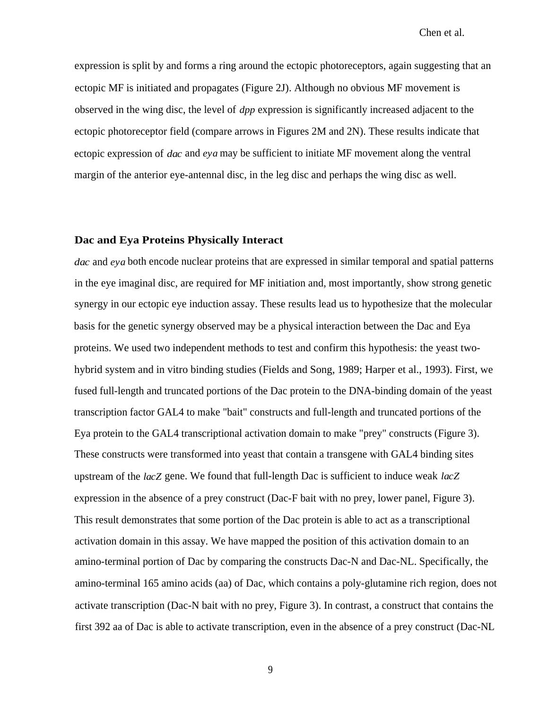expression is split by and forms a ring around the ectopic photoreceptors, again suggesting that an ectopic MF is initiated and propagates (Figure 2J). Although no obvious MF movement is observed in the wing disc, the level of *dpp* expression is significantly increased adjacent to the ectopic photoreceptor field (compare arrows in Figures 2M and 2N). These results indicate that ectopic expression of *dac* and *eya* may be sufficient to initiate MF movement along the ventral margin of the anterior eye-antennal disc, in the leg disc and perhaps the wing disc as well.

## **Dac and Eya Proteins Physically Interact**

*dac* and *eya* both encode nuclear proteins that are expressed in similar temporal and spatial patterns in the eye imaginal disc, are required for MF initiation and, most importantly, show strong genetic synergy in our ectopic eye induction assay. These results lead us to hypothesize that the molecular basis for the genetic synergy observed may be a physical interaction between the Dac and Eya proteins. We used two independent methods to test and confirm this hypothesis: the yeast twohybrid system and in vitro binding studies (Fields and Song, 1989; Harper et al., 1993). First, we fused full-length and truncated portions of the Dac protein to the DNA-binding domain of the yeast transcription factor GAL4 to make "bait" constructs and full-length and truncated portions of the Eya protein to the GAL4 transcriptional activation domain to make "prey" constructs (Figure 3). These constructs were transformed into yeast that contain a transgene with GAL4 binding sites upstream of the *lacZ* gene. We found that full-length Dac is sufficient to induce weak *lacZ* expression in the absence of a prey construct (Dac-F bait with no prey, lower panel, Figure 3). This result demonstrates that some portion of the Dac protein is able to act as a transcriptional activation domain in this assay. We have mapped the position of this activation domain to an amino-terminal portion of Dac by comparing the constructs Dac-N and Dac-NL. Specifically, the amino-terminal 165 amino acids (aa) of Dac, which contains a poly-glutamine rich region, does not activate transcription (Dac-N bait with no prey, Figure 3). In contrast, a construct that contains the first 392 aa of Dac is able to activate transcription, even in the absence of a prey construct (Dac-NL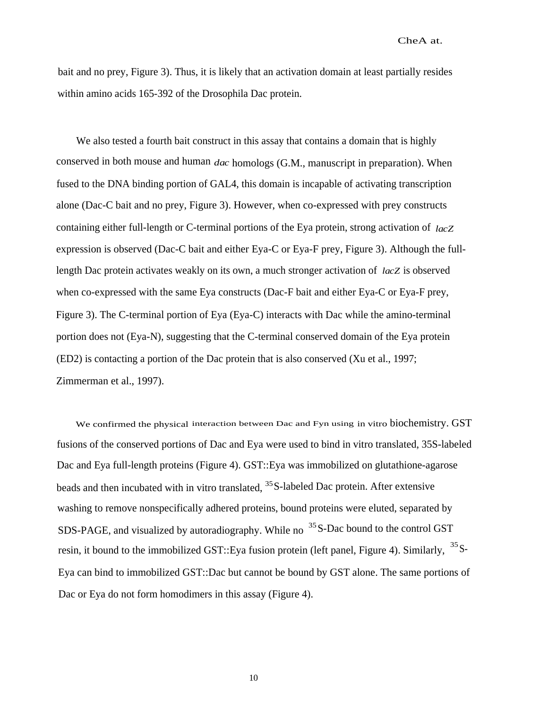CheA at.

bait and no prey, Figure 3). Thus, it is likely that an activation domain at least partially resides within amino acids 165-392 of the Drosophila Dac protein.

We also tested a fourth bait construct in this assay that contains a domain that is highly conserved in both mouse and human *dac* homologs (G.M., manuscript in preparation). When fused to the DNA binding portion of GAL4, this domain is incapable of activating transcription alone (Dac-C bait and no prey, Figure 3). However, when co-expressed with prey constructs containing either full-length or C-terminal portions of the Eya protein, strong activation of *lacZ* expression is observed (Dac-C bait and either Eya-C or Eya-F prey, Figure 3). Although the fulllength Dac protein activates weakly on its own, a much stronger activation of *lacZ* is observed when co-expressed with the same Eya constructs (Dac-F bait and either Eya-C or Eya-F prey, Figure 3). The C-terminal portion of Eya (Eya-C) interacts with Dac while the amino-terminal portion does not (Eya-N), suggesting that the C-terminal conserved domain of the Eya protein (ED2) is contacting a portion of the Dac protein that is also conserved (Xu et al., 1997; Zimmerman et al., 1997).

We confirmed the physical interaction between Dac and Fyn using in vitro biochemistry. GST fusions of the conserved portions of Dac and Eya were used to bind in vitro translated, 35S-labeled Dac and Eya full-length proteins (Figure 4). GST::Eya was immobilized on glutathione-agarose beads and then incubated with in vitro translated, <sup>35</sup>S-labeled Dac protein. After extensive washing to remove nonspecifically adhered proteins, bound proteins were eluted, separated by SDS-PAGE, and visualized by autoradiography. While no <sup>35</sup>S-Dac bound to the control GST resin, it bound to the immobilized GST::Eya fusion protein (left panel, Figure 4). Similarly, <sup>35</sup>S-Eya can bind to immobilized GST::Dac but cannot be bound by GST alone. The same portions of Dac or Eya do not form homodimers in this assay (Figure 4).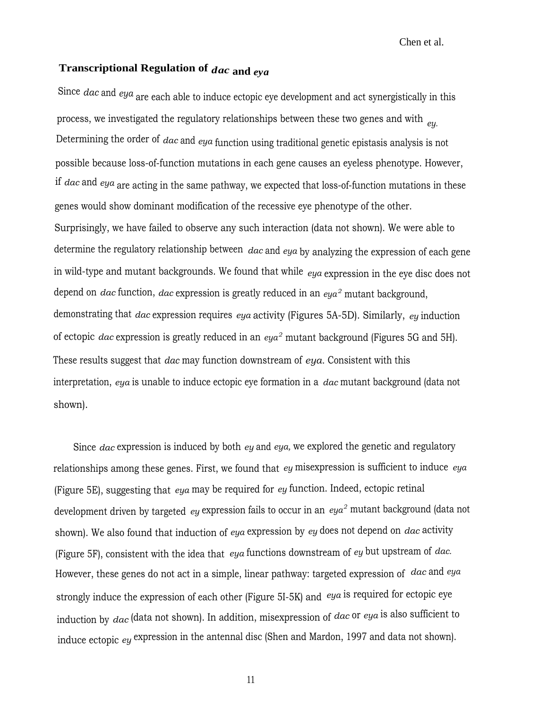## **Transcriptional Regulation of** *dac* **and** *eya*

Since *dac* and *eya* are each able to induce ectopic eye development and act synergistically in this process, we investigated the regulatory relationships between these two genes and with *ey.* Determining the order of *dac* and *eya* function using traditional genetic epistasis analysis is not possible because loss-of-function mutations in each gene causes an eyeless phenotype. However, if *dac* and *eya* are acting in the same pathway, we expected that loss-of-function mutations in these genes would show dominant modification of the recessive eye phenotype of the other. Surprisingly, we have failed to observe any such interaction (data not shown). We were able to determine the regulatory relationship between *dac* and *eya* by analyzing the expression of each gene in wild-type and mutant backgrounds. We found that while *eya* expression in the eye disc does not depend on *dac* function, *dac* expression is greatly reduced in an *eya<sup>2</sup>* mutant background, demonstrating that *dac* expression requires *eya* activity (Figures 5A-5D). Similarly, *ey* induction of ectopic *dac* expression is greatly reduced in an *eya<sup>2</sup>* mutant background (Figures 5G and 5H). These results suggest that *dac* may function downstream of *eya.* Consistent with this interpretation, *eya* is unable to induce ectopic eye formation in a *dac* mutant background (data not shown).

Since *dac* expression is induced by both *ey* and *eya,* we explored the genetic and regulatory relationships among these genes. First, we found that *ey* misexpression is sufficient to induce *eya* (Figure 5E), suggesting that *eya* may be required for *ey* function. Indeed, ectopic retinal development driven by targeted *ey* expression fails to occur in an *eya<sup>2</sup>* mutant background (data not shown). We also found that induction of *eya* expression by *ey* does not depend on *dac* activity (Figure 5F), consistent with the idea that *eya* functions downstream of *ey* but upstream of *dac.* However, these genes do not act in a simple, linear pathway: targeted expression of *dac* and *eya* strongly induce the expression of each other (Figure 5I-5K) and *eya* is required for ectopic eye induction by *dac* (data not shown). In addition, misexpression of *dac* or *eya* is also sufficient to induce ectopic *ey* expression in the antennal disc (Shen and Mardon, 1997 and data not shown).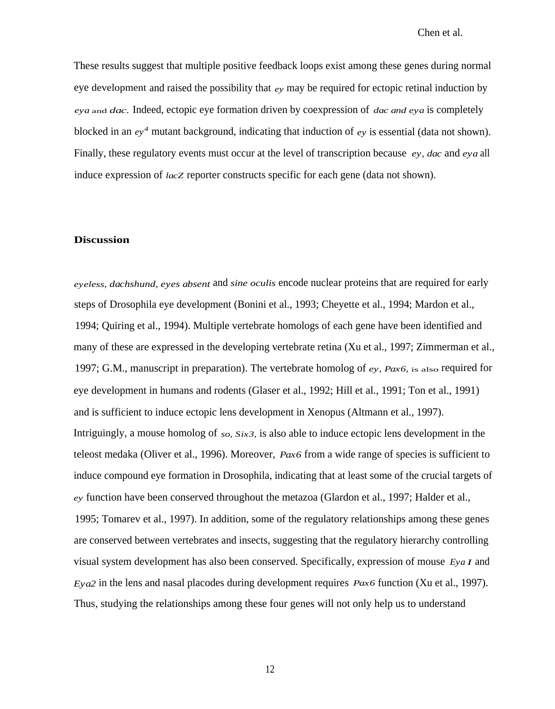These results suggest that multiple positive feedback loops exist among these genes during normal eye development and raised the possibility that  $_{eY}$  may be required for ectopic retinal induction by *eya* and *dac.* Indeed, ectopic eye formation driven by coexpression of *dac and eya* is completely blocked in an *ey <sup>4</sup>* mutant background, indicating that induction of *ey* is essential (data not shown). Finally, these regulatory events must occur at the level of transcription because *ey, dac* and *eya* all induce expression of *lacZ* reporter constructs specific for each gene (data not shown).

## **Discussion**

*eyeless, dachshund, eyes absent* and *sine oculis* encode nuclear proteins that are required for early steps of Drosophila eye development (Bonini et al., 1993; Cheyette et al., 1994; Mardon et al., 1994; Quiring et al., 1994). Multiple vertebrate homologs of each gene have been identified and many of these are expressed in the developing vertebrate retina (Xu et al., 1997; Zimmerman et al., 1997; G.M., manuscript in preparation). The vertebrate homolog of *ey, Pax6,* is also required for eye development in humans and rodents (Glaser et al., 1992; Hill et al., 1991; Ton et al., 1991) and is sufficient to induce ectopic lens development in Xenopus (Altmann et al., 1997). Intriguingly, a mouse homolog of *so, Six3,* is also able to induce ectopic lens development in the teleost medaka (Oliver et al., 1996). Moreover, *Pax6* from a wide range of species is sufficient to induce compound eye formation in Drosophila, indicating that at least some of the crucial targets of *ey* function have been conserved throughout the metazoa (Glardon et al., 1997; Halder et al., 1995; Tomarev et al., 1997). In addition, some of the regulatory relationships among these genes are conserved between vertebrates and insects, suggesting that the regulatory hierarchy controlling visual system development has also been conserved. Specifically, expression of mouse *Eya I* and *Eya2* in the lens and nasal placodes during development requires *Pax6* function (Xu et al., 1997). Thus, studying the relationships among these four genes will not only help us to understand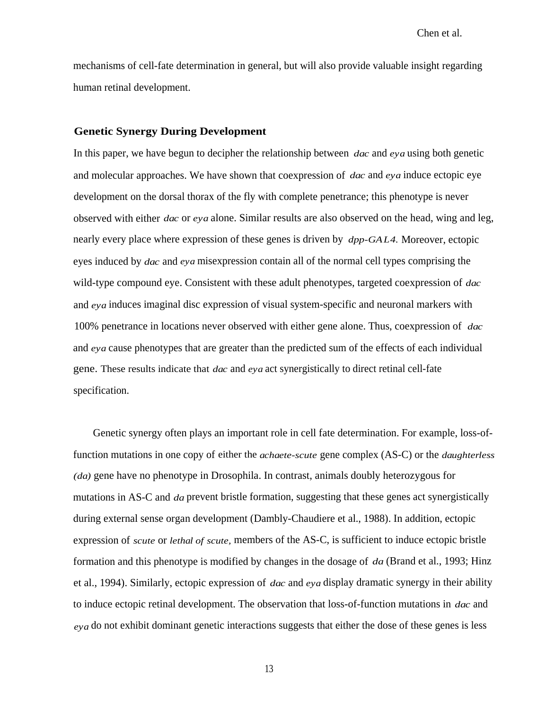mechanisms of cell-fate determination in general, but will also provide valuable insight regarding human retinal development.

#### **Genetic Synergy During Development**

In this paper, we have begun to decipher the relationship between *dac* and *eya* using both genetic and molecular approaches. We have shown that coexpression of *dac* and *eya* induce ectopic eye development on the dorsal thorax of the fly with complete penetrance; this phenotype is never observed with either *dac* or *eya* alone. Similar results are also observed on the head, wing and leg, nearly every place where expression of these genes is driven by *dpp-GAL4.* Moreover, ectopic eyes induced by *dac* and *eya* misexpression contain all of the normal cell types comprising the wild-type compound eye. Consistent with these adult phenotypes, targeted coexpression of *dac* and *eya* induces imaginal disc expression of visual system-specific and neuronal markers with 100% penetrance in locations never observed with either gene alone. Thus, coexpression of *dac* and *eya* cause phenotypes that are greater than the predicted sum of the effects of each individual gene. These results indicate that *dac* and *eya* act synergistically to direct retinal cell-fate specification.

Genetic synergy often plays an important role in cell fate determination. For example, loss-offunction mutations in one copy of either the *achaete-scute* gene complex (AS-C) or the *daughterless (da)* gene have no phenotype in Drosophila. In contrast, animals doubly heterozygous for mutations in AS-C and *da* prevent bristle formation, suggesting that these genes act synergistically during external sense organ development (Dambly-Chaudiere et al., 1988). In addition, ectopic expression of *scute* or *lethal of scute,* members of the AS-C, is sufficient to induce ectopic bristle formation and this phenotype is modified by changes in the dosage of *da* (Brand et al., 1993; Hinz et al., 1994). Similarly, ectopic expression of *dac* and *eya* display dramatic synergy in their ability to induce ectopic retinal development. The observation that loss-of-function mutations in *dac* and *eya* do not exhibit dominant genetic interactions suggests that either the dose of these genes is less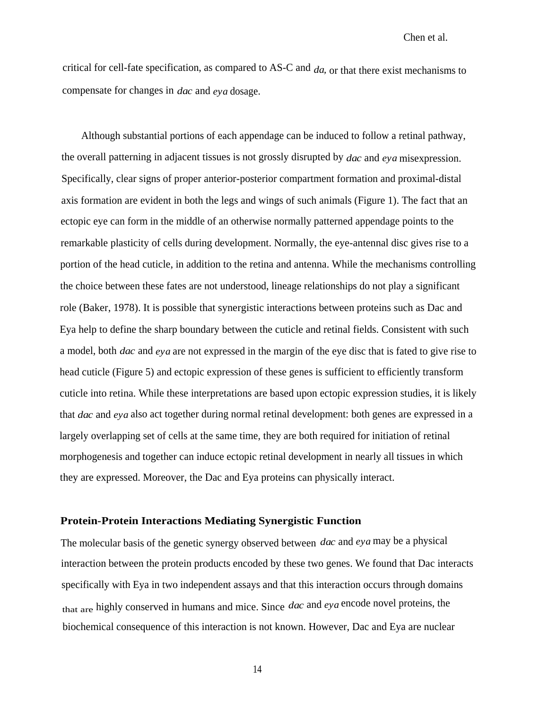critical for cell-fate specification, as compared to AS-C and *da,* or that there exist mechanisms to compensate for changes in *dac* and *eya* dosage.

Although substantial portions of each appendage can be induced to follow a retinal pathway, the overall patterning in adjacent tissues is not grossly disrupted by *dac* and *eya* misexpression. Specifically, clear signs of proper anterior-posterior compartment formation and proximal-distal axis formation are evident in both the legs and wings of such animals (Figure 1). The fact that an ectopic eye can form in the middle of an otherwise normally patterned appendage points to the remarkable plasticity of cells during development. Normally, the eye-antennal disc gives rise to a portion of the head cuticle, in addition to the retina and antenna. While the mechanisms controlling the choice between these fates are not understood, lineage relationships do not play a significant role (Baker, 1978). It is possible that synergistic interactions between proteins such as Dac and Eya help to define the sharp boundary between the cuticle and retinal fields. Consistent with such a model, both *dac* and *eya* are not expressed in the margin of the eye disc that is fated to give rise to head cuticle (Figure 5) and ectopic expression of these genes is sufficient to efficiently transform cuticle into retina. While these interpretations are based upon ectopic expression studies, it is likely that *dac* and *eya* also act together during normal retinal development: both genes are expressed in a largely overlapping set of cells at the same time, they are both required for initiation of retinal morphogenesis and together can induce ectopic retinal development in nearly all tissues in which they are expressed. Moreover, the Dac and Eya proteins can physically interact.

## **Protein-Protein Interactions Mediating Synergistic Function**

The molecular basis of the genetic synergy observed between *dac* and *eya* may be a physical interaction between the protein products encoded by these two genes. We found that Dac interacts specifically with Eya in two independent assays and that this interaction occurs through domains that are highly conserved in humans and mice. Since *dac* and *eya* encode novel proteins, the biochemical consequence of this interaction is not known. However, Dac and Eya are nuclear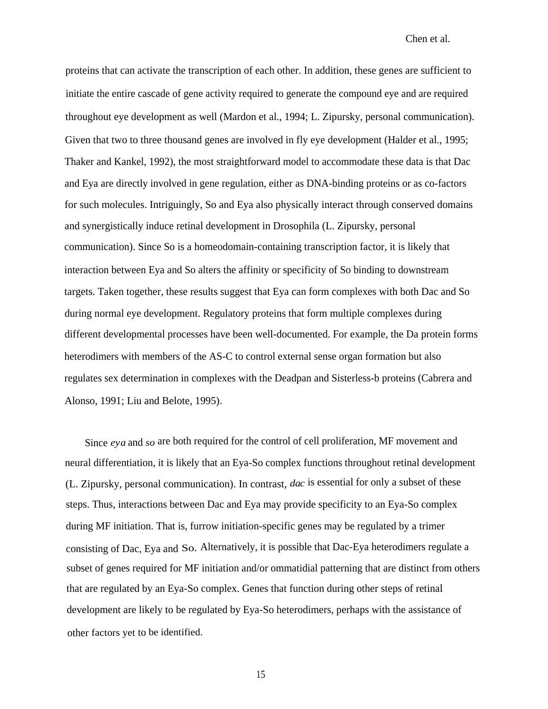proteins that can activate the transcription of each other. In addition, these genes are sufficient to initiate the entire cascade of gene activity required to generate the compound eye and are required throughout eye development as well (Mardon et al., 1994; L. Zipursky, personal communication). Given that two to three thousand genes are involved in fly eye development (Halder et al., 1995; Thaker and Kankel, 1992), the most straightforward model to accommodate these data is that Dac and Eya are directly involved in gene regulation, either as DNA-binding proteins or as co-factors for such molecules. Intriguingly, So and Eya also physically interact through conserved domains and synergistically induce retinal development in Drosophila (L. Zipursky, personal communication). Since So is a homeodomain-containing transcription factor, it is likely that interaction between Eya and So alters the affinity or specificity of So binding to downstream targets. Taken together, these results suggest that Eya can form complexes with both Dac and So during normal eye development. Regulatory proteins that form multiple complexes during different developmental processes have been well-documented. For example, the Da protein forms heterodimers with members of the AS-C to control external sense organ formation but also regulates sex determination in complexes with the Deadpan and Sisterless-b proteins (Cabrera and Alonso, 1991; Liu and Belote, 1995).

Since *eya* and *so* are both required for the control of cell proliferation, MF movement and neural differentiation, it is likely that an Eya-So complex functions throughout retinal development (L. Zipursky, personal communication). In contrast, *dac* is essential for only a subset of these steps. Thus, interactions between Dac and Eya may provide specificity to an Eya-So complex during MF initiation. That is, furrow initiation-specific genes may be regulated by a trimer consisting of Dac, Eya and So. Alternatively, it is possible that Dac-Eya heterodimers regulate a subset of genes required for MF initiation and/or ommatidial patterning that are distinct from others that are regulated by an Eya-So complex. Genes that function during other steps of retinal development are likely to be regulated by Eya-So heterodimers, perhaps with the assistance of other factors yet to be identified.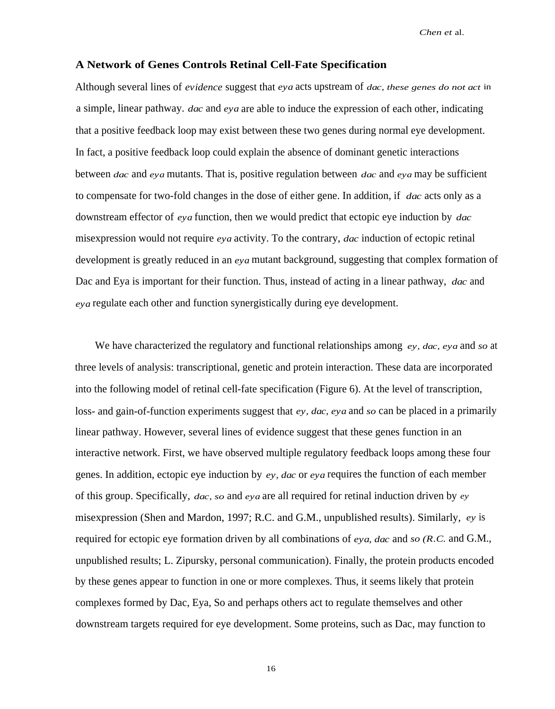#### **A Network of Genes Controls Retinal Cell-Fate Specification**

Although several lines of *evidence* suggest that *eya* acts upstream of *dac, these genes do not act* in a simple, linear pathway. *dac* and *eya* are able to induce the expression of each other, indicating that a positive feedback loop may exist between these two genes during normal eye development. In fact, a positive feedback loop could explain the absence of dominant genetic interactions between *dac* and *eya* mutants. That is, positive regulation between *dac* and *eya* may be sufficient to compensate for two-fold changes in the dose of either gene. In addition, if *dac* acts only as a downstream effector of *eya* function, then we would predict that ectopic eye induction by *dac* misexpression would not require *eya* activity. To the contrary, *dac* induction of ectopic retinal development is greatly reduced in an *eya* mutant background, suggesting that complex formation of Dac and Eya is important for their function. Thus, instead of acting in a linear pathway, *dac* and *eya* regulate each other and function synergistically during eye development.

We have characterized the regulatory and functional relationships among *ey, dac, eya* and *so* at three levels of analysis: transcriptional, genetic and protein interaction. These data are incorporated into the following model of retinal cell-fate specification (Figure 6). At the level of transcription, loss- and gain-of-function experiments suggest that *ey, dac, eya* and *so* can be placed in a primarily linear pathway. However, several lines of evidence suggest that these genes function in an interactive network. First, we have observed multiple regulatory feedback loops among these four genes. In addition, ectopic eye induction by *ey, dac* or *eya* requires the function of each member of this group. Specifically, *dac, so* and *eya* are all required for retinal induction driven by *ey* misexpression (Shen and Mardon, 1997; R.C. and G.M., unpublished results). Similarly, *ey* is required for ectopic eye formation driven by all combinations of *eya, dac* and *so (R.C.* and G.M., unpublished results; L. Zipursky, personal communication). Finally, the protein products encoded by these genes appear to function in one or more complexes. Thus, it seems likely that protein complexes formed by Dac, Eya, So and perhaps others act to regulate themselves and other downstream targets required for eye development. Some proteins, such as Dac, may function to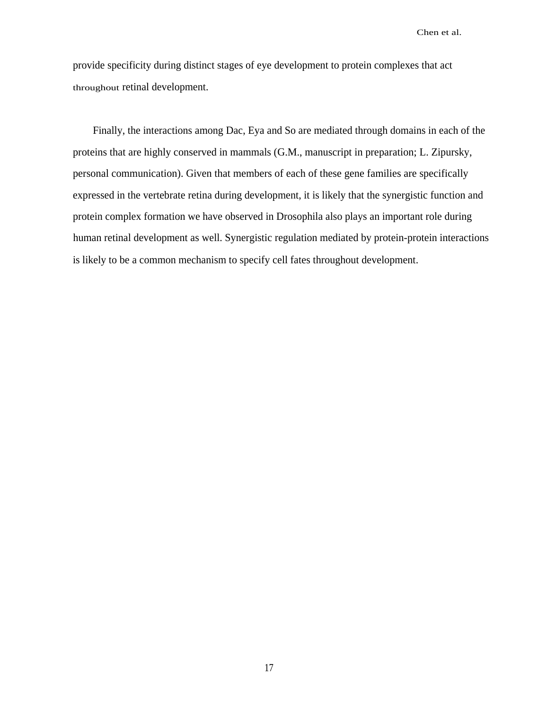provide specificity during distinct stages of eye development to protein complexes that act throughout retinal development.

Finally, the interactions among Dac, Eya and So are mediated through domains in each of the proteins that are highly conserved in mammals (G.M., manuscript in preparation; L. Zipursky, personal communication). Given that members of each of these gene families are specifically expressed in the vertebrate retina during development, it is likely that the synergistic function and protein complex formation we have observed in Drosophila also plays an important role during human retinal development as well. Synergistic regulation mediated by protein-protein interactions is likely to be a common mechanism to specify cell fates throughout development.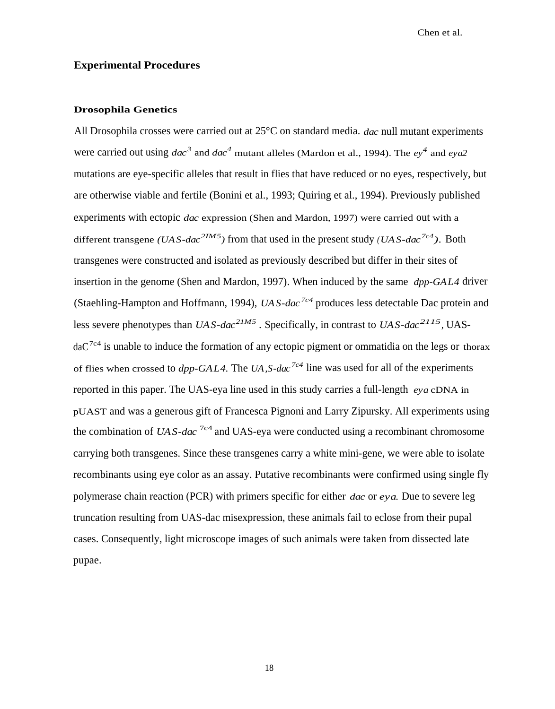## **Experimental Procedures**

## **Drosophila Genetics**

All Drosophila crosses were carried out at 25°C on standard media. *dac* null mutant experiments were carried out using *dac<sup>3</sup>* and *dac<sup>4</sup>* mutant alleles (Mardon et al., 1994). The *ey 4* and *eya2* mutations are eye-specific alleles that result in flies that have reduced or no eyes, respectively, but are otherwise viable and fertile (Bonini et al., 1993; Quiring et al., 1994). Previously published experiments with ectopic *dac* expression (Shen and Mardon, 1997) were carried out with a different transgene *(UAS-dac<sup>2IM5</sup>)* from that used in the present study *(UAS-dac<sup>7c4</sup>)*. Both transgenes were constructed and isolated as previously described but differ in their sites of insertion in the genome (Shen and Mardon, 1997). When induced by the same *dpp-GAL4* driver (Staehling-Hampton and Hoffmann, 1994), *UAS-dac 7c4* produces less detectable Dac protein and less severe phenotypes than *UAS-dac<sup>21M5</sup>*. Specifically, in contrast to *UAS-dac<sup>2115</sup>*, UAS $daC^{7c4}$  is unable to induce the formation of any ectopic pigment or ommatidia on the legs or thorax of flies when crossed to *dpp-GAL4.* The *UA,S-dac 7c4* line was used for all of the experiments reported in this paper. The UAS-eya line used in this study carries a full-length *eya* cDNA in pUAST and was a generous gift of Francesca Pignoni and Larry Zipursky. All experiments using the combination of *UAS-dac* 7c4 and UAS-eya were conducted using a recombinant chromosome carrying both transgenes. Since these transgenes carry a white mini-gene, we were able to isolate recombinants using eye color as an assay. Putative recombinants were confirmed using single fly polymerase chain reaction (PCR) with primers specific for either *dac* or *eya.* Due to severe leg truncation resulting from UAS-dac misexpression, these animals fail to eclose from their pupal cases. Consequently, light microscope images of such animals were taken from dissected late pupae.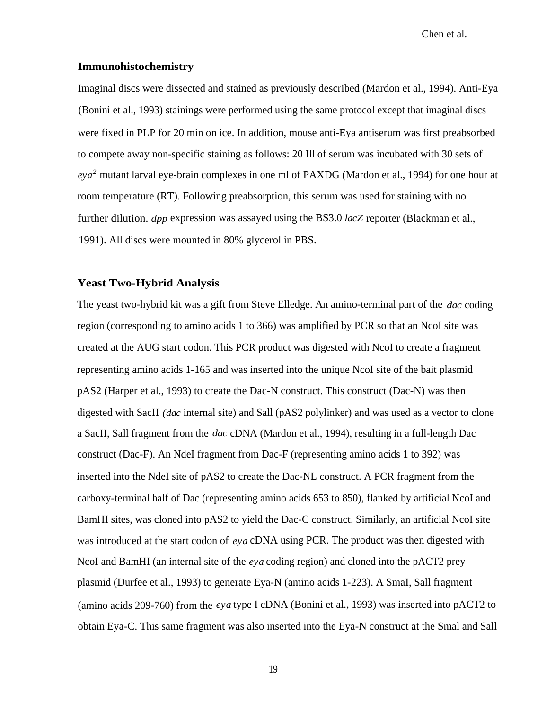#### **Immunohistochemistry**

Imaginal discs were dissected and stained as previously described (Mardon et al., 1994). Anti-Eya (Bonini et al., 1993) stainings were performed using the same protocol except that imaginal discs were fixed in PLP for 20 min on ice. In addition, mouse anti-Eya antiserum was first preabsorbed to compete away non-specific staining as follows: 20 Ill of serum was incubated with 30 sets of *eya <sup>2</sup>* mutant larval eye-brain complexes in one ml of PAXDG (Mardon et al., 1994) for one hour at room temperature (RT). Following preabsorption, this serum was used for staining with no further dilution. *dpp* expression was assayed using the BS3.0 *lacZ* reporter (Blackman et al., 1991). All discs were mounted in 80% glycerol in PBS.

## **Yeast Two-Hybrid Analysis**

The yeast two-hybrid kit was a gift from Steve Elledge. An amino-terminal part of the *dac* coding region (corresponding to amino acids 1 to 366) was amplified by PCR so that an NcoI site was created at the AUG start codon. This PCR product was digested with NcoI to create a fragment representing amino acids 1-165 and was inserted into the unique NcoI site of the bait plasmid pAS2 (Harper et al., 1993) to create the Dac-N construct. This construct (Dac-N) was then digested with SacII *(dac* internal site) and Sall (pAS2 polylinker) and was used as a vector to clone a SacII, Sall fragment from the *dac* cDNA (Mardon et al., 1994), resulting in a full-length Dac construct (Dac-F). An NdeI fragment from Dac-F (representing amino acids 1 to 392) was inserted into the NdeI site of pAS2 to create the Dac-NL construct. A PCR fragment from the carboxy-terminal half of Dac (representing amino acids 653 to 850), flanked by artificial NcoI and BamHI sites, was cloned into pAS2 to yield the Dac-C construct. Similarly, an artificial NcoI site was introduced at the start codon of *eya* cDNA using PCR. The product was then digested with NcoI and BamHI (an internal site of the *eya* coding region) and cloned into the pACT2 prey plasmid (Durfee et al., 1993) to generate Eya-N (amino acids 1-223). A SmaI, Sall fragment (amino acids 209-760) from the *eya* type I cDNA (Bonini et al., 1993) was inserted into pACT2 to obtain Eya-C. This same fragment was also inserted into the Eya-N construct at the Smal and Sall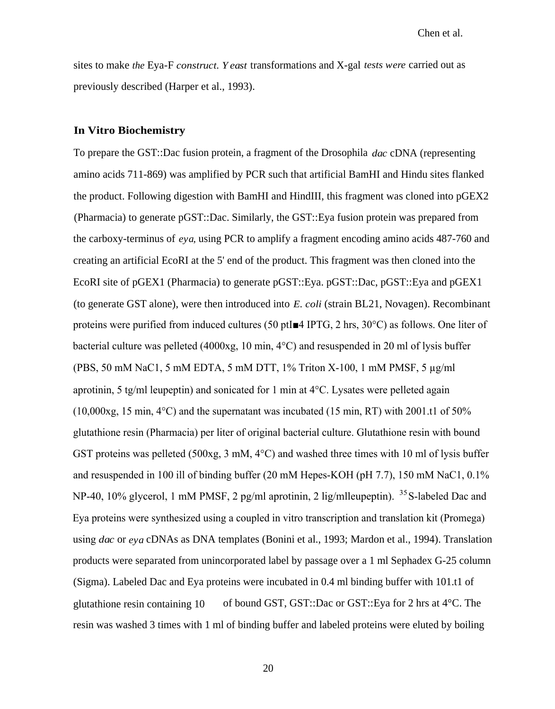sites to make *the* Eya-F *construct. Yeast* transformations and X-gal *tests were* carried out as previously described (Harper et al., 1993).

#### **In Vitro Biochemistry**

To prepare the GST::Dac fusion protein, a fragment of the Drosophila *dac* cDNA (representing amino acids 711-869) was amplified by PCR such that artificial BamHI and Hindu sites flanked the product. Following digestion with BamHI and HindIII, this fragment was cloned into pGEX2 (Pharmacia) to generate pGST::Dac. Similarly, the GST::Eya fusion protein was prepared from the carboxy-terminus of *eya,* using PCR to amplify a fragment encoding amino acids 487-760 and creating an artificial EcoRI at the 5' end of the product. This fragment was then cloned into the EcoRI site of pGEX1 (Pharmacia) to generate pGST::Eya. pGST::Dac, pGST::Eya and pGEX1 (to generate GST alone), were then introduced into *E. coli* (strain BL21, Novagen). Recombinant proteins were purified from induced cultures (50 ptI■4 IPTG, 2 hrs, 30°C) as follows. One liter of bacterial culture was pelleted (4000xg, 10 min, 4°C) and resuspended in 20 ml of lysis buffer (PBS, 50 mM NaC1, 5 mM EDTA, 5 mM DTT,  $1\%$  Triton X-100, 1 mM PMSF, 5  $\mu$ g/ml aprotinin, 5 tg/ml leupeptin) and sonicated for 1 min at  $4^{\circ}$ C. Lysates were pelleted again  $(10,000x)$ , 15 min, 4°C) and the supernatant was incubated (15 min, RT) with 2001.t1 of 50% glutathione resin (Pharmacia) per liter of original bacterial culture. Glutathione resin with bound GST proteins was pelleted (500xg, 3 mM, 4°C) and washed three times with 10 ml of lysis buffer and resuspended in 100 ill of binding buffer (20 mM Hepes-KOH (pH 7.7), 150 mM NaC1, 0.1% NP-40, 10% glycerol, 1 mM PMSF, 2 pg/ml aprotinin, 2 lig/mlleupeptin). <sup>35</sup>S-labeled Dac and Eya proteins were synthesized using a coupled in vitro transcription and translation kit (Promega) using *dac* or *eya* cDNAs as DNA templates (Bonini et al., 1993; Mardon et al., 1994). Translation products were separated from unincorporated label by passage over a 1 ml Sephadex G-25 column (Sigma). Labeled Dac and Eya proteins were incubated in 0.4 ml binding buffer with 101.t1 of glutathione resin containing 10 of bound GST, GST::Dac or GST::Eya for 2 hrs at  $4^{\circ}$ C. The resin was washed 3 times with 1 ml of binding buffer and labeled proteins were eluted by boiling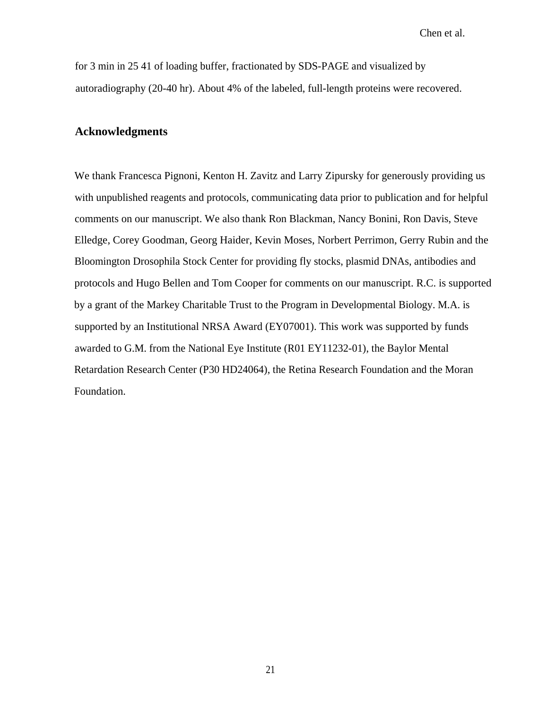for 3 min in 25 41 of loading buffer, fractionated by SDS-PAGE and visualized by autoradiography (20-40 hr). About 4% of the labeled, full-length proteins were recovered.

## **Acknowledgments**

We thank Francesca Pignoni, Kenton H. Zavitz and Larry Zipursky for generously providing us with unpublished reagents and protocols, communicating data prior to publication and for helpful comments on our manuscript. We also thank Ron Blackman, Nancy Bonini, Ron Davis, Steve Elledge, Corey Goodman, Georg Haider, Kevin Moses, Norbert Perrimon, Gerry Rubin and the Bloomington Drosophila Stock Center for providing fly stocks, plasmid DNAs, antibodies and protocols and Hugo Bellen and Tom Cooper for comments on our manuscript. R.C. is supported by a grant of the Markey Charitable Trust to the Program in Developmental Biology. M.A. is supported by an Institutional NRSA Award (EY07001). This work was supported by funds awarded to G.M. from the National Eye Institute (R01 EY11232-01), the Baylor Mental Retardation Research Center (P30 HD24064), the Retina Research Foundation and the Moran Foundation.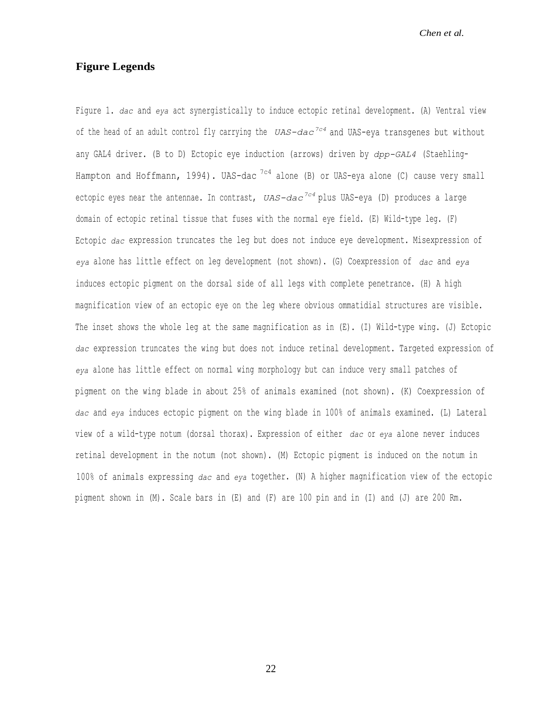## **Figure Legends**

Figure 1. *dac* and *eya* act synergistically to induce ectopic retinal development. (A) Ventral view of the head of an adult control fly carrying the *UAS-dac7c4* and UAS-eya transgenes but without any GAL4 driver. (B to D) Ectopic eye induction (arrows) driven by *dpp-GAL4* (Staehling-Hampton and Hoffmann, 1994). UAS-dac<sup>7c4</sup> alone (B) or UAS-eya alone (C) cause very small ectopic eyes near the antennae. In contrast, *UAS-dac7c4* plus UAS-eya (D) produces a large domain of ectopic retinal tissue that fuses with the normal eye field. (E) Wild-type leg. (F) Ectopic *dac* expression truncates the leg but does not induce eye development. Misexpression of *eya* alone has little effect on leg development (not shown). (G) Coexpression of *dac* and *eya* induces ectopic pigment on the dorsal side of all legs with complete penetrance. (H) A high magnification view of an ectopic eye on the leg where obvious ommatidial structures are visible. The inset shows the whole leg at the same magnification as in  $(E)$ . (I) Wild-type wing. (J) Ectopic *dac* expression truncates the wing but does not induce retinal development. Targeted expression of *eya* alone has little effect on normal wing morphology but can induce very small patches of pigment on the wing blade in about 25% of animals examined (not shown). (K) Coexpression of *dac* and *eya* induces ectopic pigment on the wing blade in 100% of animals examined. (L) Lateral view of a wild-type notum (dorsal thorax). Expression of either *dac* or *eya* alone never induces retinal development in the notum (not shown). (M) Ectopic pigment is induced on the notum in 100% of animals expressing *dac* and *eya* together. (N) A higher magnification view of the ectopic pigment shown in (M). Scale bars in (E) and (F) are 100 pin and in (I) and (J) are 200 Rm.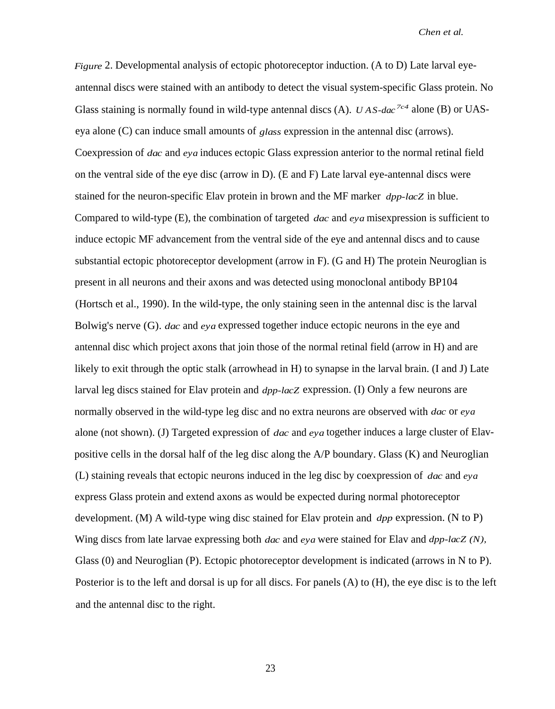*Figure* 2. Developmental analysis of ectopic photoreceptor induction. (A to D) Late larval eyeantennal discs were stained with an antibody to detect the visual system-specific Glass protein. No Glass staining is normally found in wild-type antennal discs (A). *U AS-dac 7c4* alone (B) or UASeya alone (C) can induce small amounts of *glass* expression in the antennal disc (arrows). Coexpression of *dac* and *eya* induces ectopic Glass expression anterior to the normal retinal field on the ventral side of the eye disc (arrow in D). (E and F) Late larval eye-antennal discs were stained for the neuron-specific Elav protein in brown and the MF marker *dpp-lacZ* in blue. Compared to wild-type (E), the combination of targeted *dac* and *eya* misexpression is sufficient to induce ectopic MF advancement from the ventral side of the eye and antennal discs and to cause substantial ectopic photoreceptor development (arrow in F). (G and H) The protein Neuroglian is present in all neurons and their axons and was detected using monoclonal antibody BP104 (Hortsch et al., 1990). In the wild-type, the only staining seen in the antennal disc is the larval Bolwig's nerve (G). *dac* and *eya* expressed together induce ectopic neurons in the eye and antennal disc which project axons that join those of the normal retinal field (arrow in H) and are likely to exit through the optic stalk (arrowhead in H) to synapse in the larval brain. (I and J) Late larval leg discs stained for Elav protein and *dpp-lacZ* expression. (I) Only a few neurons are normally observed in the wild-type leg disc and no extra neurons are observed with *dac* or *eya* alone (not shown). (J) Targeted expression of *dac* and *eya* together induces a large cluster of Elavpositive cells in the dorsal half of the leg disc along the A/P boundary. Glass (K) and Neuroglian (L) staining reveals that ectopic neurons induced in the leg disc by coexpression of *dac* and *eya* express Glass protein and extend axons as would be expected during normal photoreceptor development. (M) A wild-type wing disc stained for Elav protein and *dpp* expression. (N to P) Wing discs from late larvae expressing both *dac* and *eya* were stained for Elav and *dpp-lacZ (N),* Glass (0) and Neuroglian (P). Ectopic photoreceptor development is indicated (arrows in N to P). Posterior is to the left and dorsal is up for all discs. For panels (A) to (H), the eye disc is to the left and the antennal disc to the right.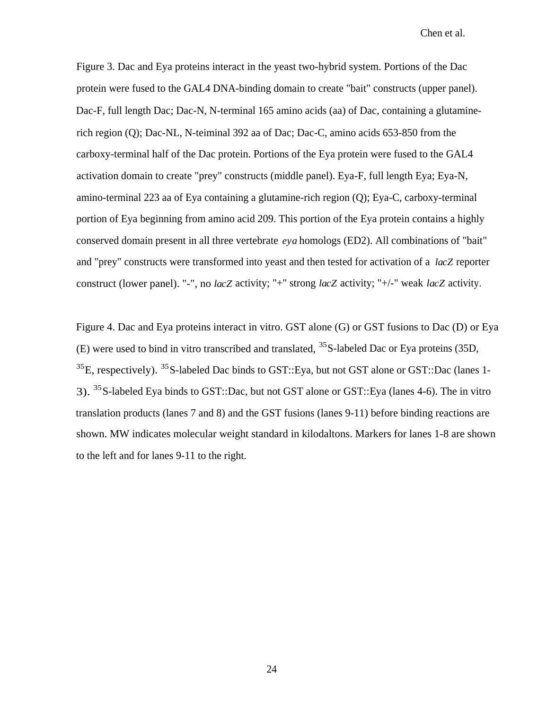Figure 3. Dac and Eya proteins interact in the yeast two-hybrid system. Portions of the Dac protein were fused to the GAL4 DNA-binding domain to create "bait" constructs (upper panel). Dac-F, full length Dac; Dac-N, N-terminal 165 amino acids (aa) of Dac, containing a glutaminerich region (Q); Dac-NL, N-teiminal 392 aa of Dac; Dac-C, amino acids 653-850 from the carboxy-terminal half of the Dac protein. Portions of the Eya protein were fused to the GAL4 activation domain to create "prey" constructs (middle panel). Eya-F, full length Eya; Eya-N, amino-terminal 223 aa of Eya containing a glutamine-rich region (Q); Eya-C, carboxy-terminal portion of Eya beginning from amino acid 209. This portion of the Eya protein contains a highly conserved domain present in all three vertebrate *eya* homologs (ED2). All combinations of "bait" and "prey" constructs were transformed into yeast and then tested for activation of a *lacZ* reporter construct (lower panel). "-", no *lacZ* activity; "+" strong *lacZ* activity; "+/-" weak *lacZ* activity.

Figure 4. Dac and Eya proteins interact in vitro. GST alone (G) or GST fusions to Dac (D) or Eya (E) were used to bind in vitro transcribed and translated,  $35$  S-labeled Dac or Eya proteins (35D,  ${}^{35}E$ , respectively).  ${}^{35}S$ -labeled Dac binds to GST::Eya, but not GST alone or GST::Dac (lanes 1-3). <sup>35</sup>S-labeled Eya binds to GST::Dac, but not GST alone or GST::Eya (lanes 4-6). The in vitro translation products (lanes 7 and 8) and the GST fusions (lanes 9-11) before binding reactions are shown. MW indicates molecular weight standard in kilodaltons. Markers for lanes 1-8 are shown to the left and for lanes 9-11 to the right.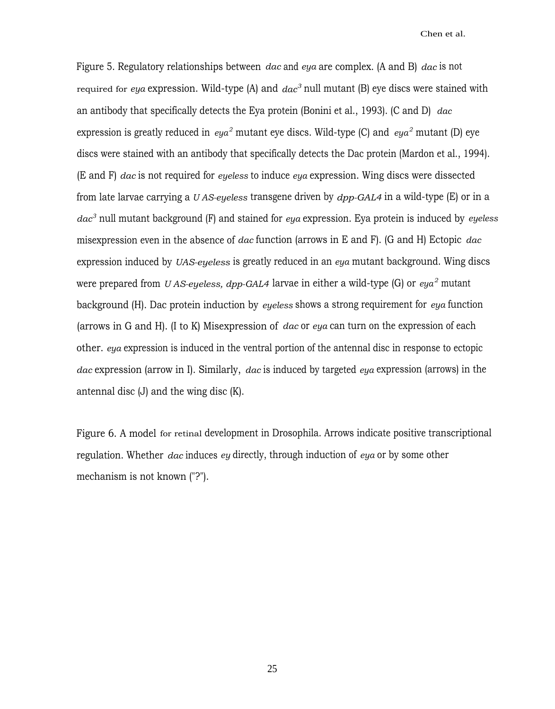Figure 5. Regulatory relationships between *dac* and *eya* are complex. (A and B) *dac* is not required for *eya* expression. Wild-type (A) and *dac<sup>3</sup>* null mutant (B) eye discs were stained with an antibody that specifically detects the Eya protein (Bonini et al., 1993). (C and D) *dac* expression is greatly reduced in *eya<sup>2</sup>* mutant eye discs. Wild-type (C) and *eya<sup>2</sup>* mutant (D) eye discs were stained with an antibody that specifically detects the Dac protein (Mardon et al., 1994). (E and F) *dac* is not required for *eyeless* to induce *eya* expression. Wing discs were dissected from late larvae carrying a *U AS-eyeless* transgene driven by *dpp-GAL4* in a wild-type (E) or in a *dac<sup>3</sup>* null mutant background (F) and stained for *eya* expression. Eya protein is induced by *eyeless* misexpression even in the absence of *dac* function (arrows in E and F). (G and H) Ectopic *dac* expression induced by *UAS-eyeless* is greatly reduced in an *eya* mutant background. Wing discs were prepared from *U AS-eyeless, dpp-GAL4* larvae in either a wild-type (G) or *eya<sup>2</sup>* mutant background (H). Dac protein induction by *eyeless* shows a strong requirement for *eya* function (arrows in G and H). (I to K) Misexpression of *dac* or *eya* can turn on the expression of each other. *eya* expression is induced in the ventral portion of the antennal disc in response to ectopic *dac* expression (arrow in I). Similarly, *dac* is induced by targeted *eya* expression (arrows) in the antennal disc (J) and the wing disc (K).

Figure 6. A model for retinal development in Drosophila. Arrows indicate positive transcriptional regulation. Whether *dac* induces *ey* directly, through induction of *eya* or by some other mechanism is not known ("?").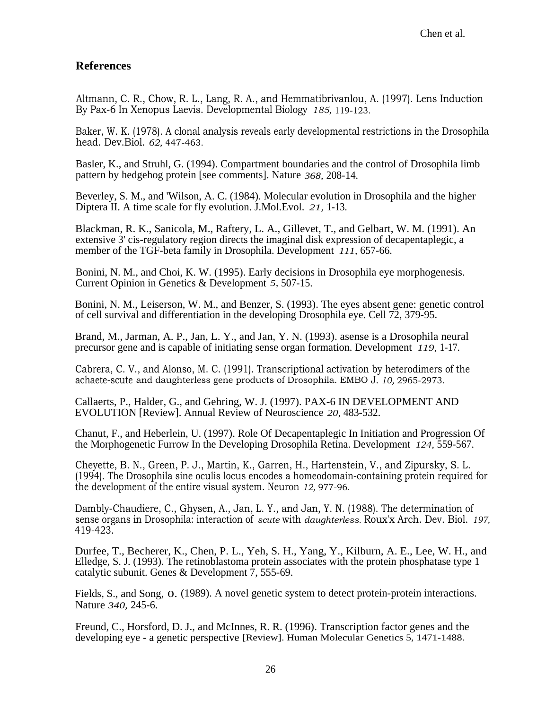## **References**

Altmann, C. R., Chow, R. L., Lang, R. A., and Hemmatibrivanlou, A. (1997). Lens Induction By Pax-6 In Xenopus Laevis. Developmental Biology *185,* 119-123.

Baker, W. K. (1978). A clonal analysis reveals early developmental restrictions in the Drosophila head. Dev.Biol. *62,* 447-463.

Basler, K., and Struhl, G. (1994). Compartment boundaries and the control of Drosophila limb pattern by hedgehog protein [see comments]. Nature *368,* 208-14.

Beverley, S. M., and 'Wilson, A. C. (1984). Molecular evolution in Drosophila and the higher Diptera II. A time scale for fly evolution. J.Mol.Evol. *21,* 1-13.

Blackman, R. K., Sanicola, M., Raftery, L. A., Gillevet, T., and Gelbart, W. M. (1991). An extensive 3' cis-regulatory region directs the imaginal disk expression of decapentaplegic, a member of the TGF-beta family in Drosophila. Development *111,* 657-66.

Bonini, N. M., and Choi, K. W. (1995). Early decisions in Drosophila eye morphogenesis. Current Opinion in Genetics & Development *5,* 507-15.

Bonini, N. M., Leiserson, W. M., and Benzer, S. (1993). The eyes absent gene: genetic control of cell survival and differentiation in the developing Drosophila eye. Cell 72, 379-95.

Brand, M., Jarman, A. P., Jan, L. Y., and Jan, Y. N. (1993). asense is a Drosophila neural precursor gene and is capable of initiating sense organ formation. Development *119,* 1-17.

Cabrera, C. V., and Alonso, M. C. (1991). Transcriptional activation by heterodimers of the achaete-scute and daughterless gene products of Drosophila. EMBO J. *10,* 2965-2973.

Callaerts, P., Halder, G., and Gehring, W. J. (1997). PAX-6 IN DEVELOPMENT AND EVOLUTION [Review]. Annual Review of Neuroscience *20,* 483-532.

Chanut, F., and Heberlein, U. (1997). Role Of Decapentaplegic In Initiation and Progression Of the Morphogenetic Furrow In the Developing Drosophila Retina. Development *124,* 559-567.

Cheyette, B. N., Green, P. J., Martin, K., Garren, H., Hartenstein, V., and Zipursky, S. L. (1994). The Drosophila sine oculis locus encodes a homeodomain-containing protein required for the development of the entire visual system. Neuron *12,* 977-96.

Dambly-Chaudiere, C., Ghysen, A., Jan, L. Y., and Jan, Y. N. (1988). The determination of sense organs in Drosophila: interaction of *scute* with *daughterless.* Roux'x Arch. Dev. Biol. *197,* 419-423.

Durfee, T., Becherer, K., Chen, P. L., Yeh, S. H., Yang, Y., Kilburn, A. E., Lee, W. H., and Elledge, S. J. (1993). The retinoblastoma protein associates with the protein phosphatase type 1 catalytic subunit. Genes & Development  $\overline{7}$ , 555-69.

Fields, S., and Song, 0. (1989). A novel genetic system to detect protein-protein interactions. Nature *340,* 245-6.

Freund, C., Horsford, D. J., and McInnes, R. R. (1996). Transcription factor genes and the developing eye - a genetic perspective [Review]. Human Molecular Genetics 5, 1471-1488.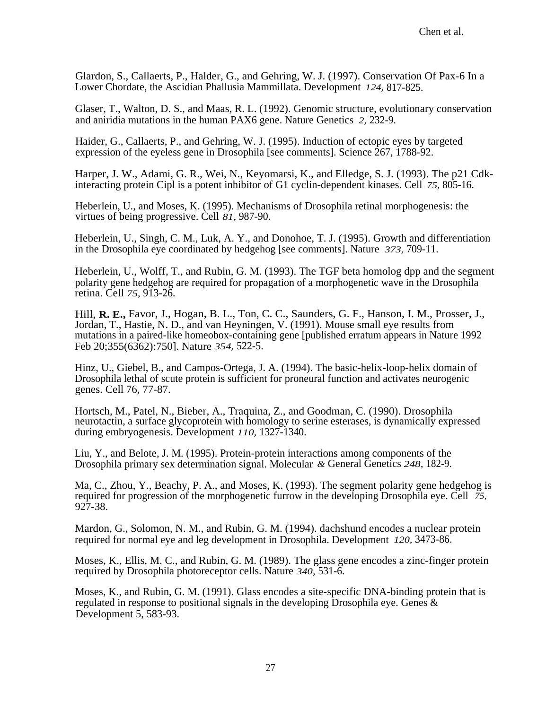Glardon, S., Callaerts, P., Halder, G., and Gehring, W. J. (1997). Conservation Of Pax-6 In a Lower Chordate, the Ascidian Phallusia Mammillata. Development *124,* 817-825.

Glaser, T., Walton, D. S., and Maas, R. L. (1992). Genomic structure, evolutionary conservation and aniridia mutations in the human PAX6 gene. Nature Genetics *2,* 232-9.

Haider, G., Callaerts, P., and Gehring, W. J. (1995). Induction of ectopic eyes by targeted expression of the eyeless gene in Drosophila [see comments]. Science 267, 1788-92.

Harper, J. W., Adami, G. R., Wei, N., Keyomarsi, K., and Elledge, S. J. (1993). The p21 Cdkinteracting protein Cipl is a potent inhibitor of G1 cyclin-dependent kinases. Cell *75,* 805-16.

Heberlein, U., and Moses, K. (1995). Mechanisms of Drosophila retinal morphogenesis: the virtues of being progressive. Cell *81,* 987-90.

Heberlein, U., Singh, C. M., Luk, A. Y., and Donohoe, T. J. (1995). Growth and differentiation in the Drosophila eye coordinated by hedgehog [see comments]. Nature *373,* 709-11.

Heberlein, U., Wolff, T., and Rubin, G. M. (1993). The TGF beta homolog dpp and the segment polarity gene hedgehog are required for propagation of a morphogenetic wave in the Drosophila retina. Cell *75,* 913-26.

Hill, **R. E.,** Favor, J., Hogan, B. L., Ton, C. C., Saunders, G. F., Hanson, I. M., Prosser, J., Jordan, T., Hastie, N. D., and van Heyningen, V. (1991). Mouse small eye results from mutations in a paired-like homeobox-containing gene [published erratum appears in Nature 1992 Feb 20;355(6362):750]. Nature *354,* 522-5.

Hinz, U., Giebel, B., and Campos-Ortega, J. A. (1994). The basic-helix-loop-helix domain of Drosophila lethal of scute protein is sufficient for proneural function and activates neurogenic genes. Cell 76, 77-87.

Hortsch, M., Patel, N., Bieber, A., Traquina, Z., and Goodman, C. (1990). Drosophila neurotactin, a surface glycoprotein with homology to serine esterases, is dynamically expressed during embryogenesis. Development *110,* 1327-1340.

Liu, Y., and Belote, J. M. (1995). Protein-protein interactions among components of the Drosophila primary sex determination signal. Molecular *&* General Genetics *248,* 182-9.

Ma, C., Zhou, Y., Beachy, P. A., and Moses, K. (1993). The segment polarity gene hedgehog is required for progression of the morphogenetic furrow in the developing Drosophila eye. Cell *75,* 927-38.

Mardon, G., Solomon, N. M., and Rubin, G. M. (1994). dachshund encodes a nuclear protein required for normal eye and leg development in Drosophila. Development *120,* 3473-86.

Moses, K., Ellis, M. C., and Rubin, G. M. (1989). The glass gene encodes a zinc-finger protein required by Drosophila photoreceptor cells. Nature *340,* 531-6.

Moses, K., and Rubin, G. M. (1991). Glass encodes a site-specific DNA-binding protein that is regulated in response to positional signals in the developing Drosophila eye. Genes & Development 5, 583-93.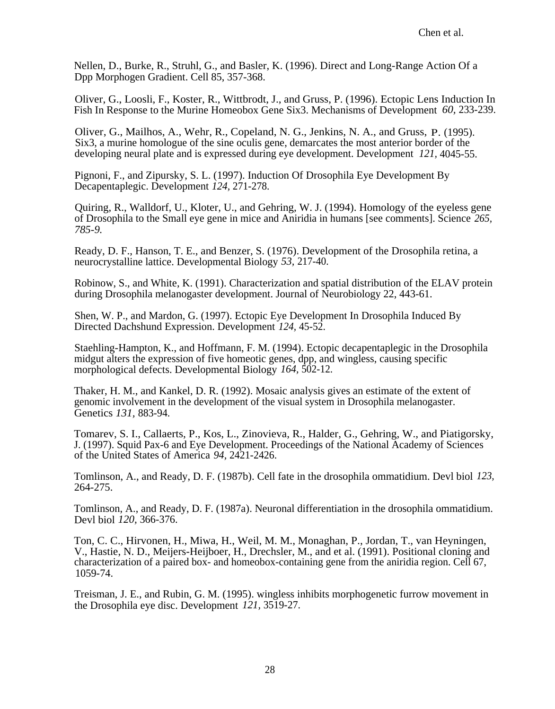Nellen, D., Burke, R., Struhl, G., and Basler, K. (1996). Direct and Long-Range Action Of a Dpp Morphogen Gradient. Cell 85, 357-368.

Oliver, G., Loosli, F., Koster, R., Wittbrodt, J., and Gruss, P. (1996). Ectopic Lens Induction In Fish In Response to the Murine Homeobox Gene Six3. Mechanisms of Development *60,* 233-239.

Oliver, G., Mailhos, A., Wehr, R., Copeland, N. G., Jenkins, N. A., and Gruss, P. (1995). Six3, a murine homologue of the sine oculis gene, demarcates the most anterior border of the developing neural plate and is expressed during eye development. Development *121,* 4045-55.

Pignoni, F., and Zipursky, S. L. (1997). Induction Of Drosophila Eye Development By Decapentaplegic. Development *124,* 271-278.

Quiring, R., Walldorf, U., Kloter, U., and Gehring, W. J. (1994). Homology of the eyeless gene of Drosophila to the Small eye gene in mice and Aniridia in humans [see comments]. Science *265, 785-9.*

Ready, D. F., Hanson, T. E., and Benzer, S. (1976). Development of the Drosophila retina, a neurocrystalline lattice. Developmental Biology *53,* 217-40.

Robinow, S., and White, K. (1991). Characterization and spatial distribution of the ELAV protein during Drosophila melanogaster development. Journal of Neurobiology 22, 443-61.

Shen, W. P., and Mardon, G. (1997). Ectopic Eye Development In Drosophila Induced By Directed Dachshund Expression. Development *124,* 45-52.

Staehling-Hampton, K., and Hoffmann, F. M. (1994). Ectopic decapentaplegic in the Drosophila midgut alters the expression of five homeotic genes, dpp, and wingless, causing specific morphological defects. Developmental Biology *164,* 502-12.

Thaker, H. M., and Kankel, D. R. (1992). Mosaic analysis gives an estimate of the extent of genomic involvement in the development of the visual system in Drosophila melanogaster. Genetics *131,* 883-94.

Tomarev, S. I., Callaerts, P., Kos, L., Zinovieva, R., Halder, G., Gehring, W., and Piatigorsky, J. (1997). Squid Pax-6 and Eye Development. Proceedings of the National Academy of Sciences of the United States of America *94,* 2421-2426.

Tomlinson, A., and Ready, D. F. (1987b). Cell fate in the drosophila ommatidium. Devl biol *123,* 264-275.

Tomlinson, A., and Ready, D. F. (1987a). Neuronal differentiation in the drosophila ommatidium. Devl biol *120,* 366-376.

Ton, C. C., Hirvonen, H., Miwa, H., Weil, M. M., Monaghan, P., Jordan, T., van Heyningen, V., Hastie, N. D., Meijers-Heijboer, H., Drechsler, M., and et al. (1991). Positional cloning and characterization of a paired box- and homeobox-containing gene from the aniridia region. Cell 67, 1059-74.

Treisman, J. E., and Rubin, G. M. (1995). wingless inhibits morphogenetic furrow movement in the Drosophila eye disc. Development *121,* 3519-27.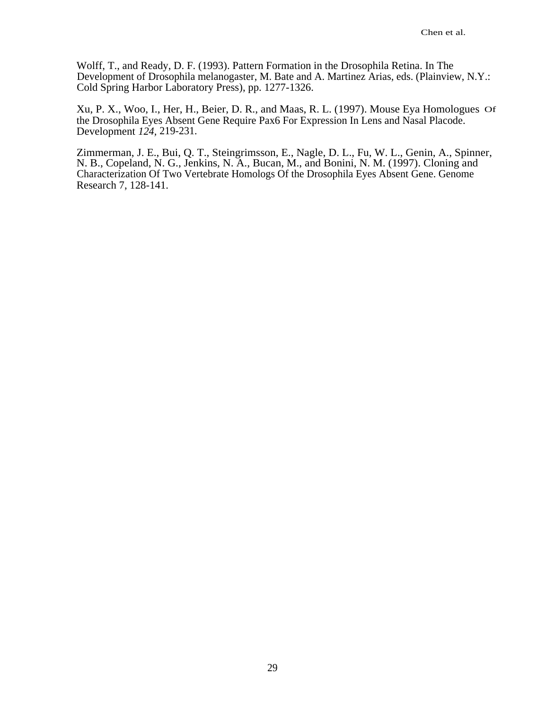Wolff, T., and Ready, D. F. (1993). Pattern Formation in the Drosophila Retina. In The Development of Drosophila melanogaster, M. Bate and A. Martinez Arias, eds. (Plainview, N.Y.: Cold Spring Harbor Laboratory Press), pp. 1277-1326.

Xu, P. X., Woo, I., Her, H., Beier, D. R., and Maas, R. L. (1997). Mouse Eya Homologues Of the Drosophila Eyes Absent Gene Require Pax6 For Expression In Lens and Nasal Placode. Development *124,* 219-231.

Zimmerman, J. E., Bui, Q. T., Steingrimsson, E., Nagle, D. L., Fu, W. L., Genin, A., Spinner, N. B., Copeland, N. G., Jenkins, N. A., Bucan, M., and Bonini, N. M. (1997). Cloning and Characterization Of Two Vertebrate Homologs Of the Drosophila Eyes Absent Gene. Genome Research 7, 128-141.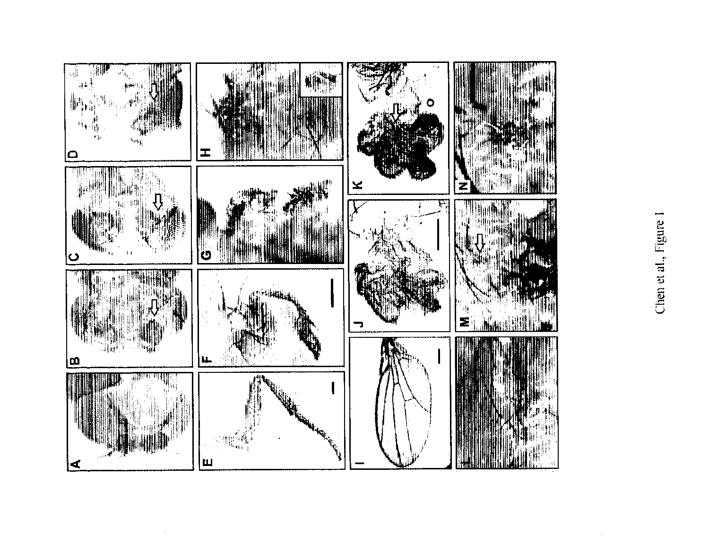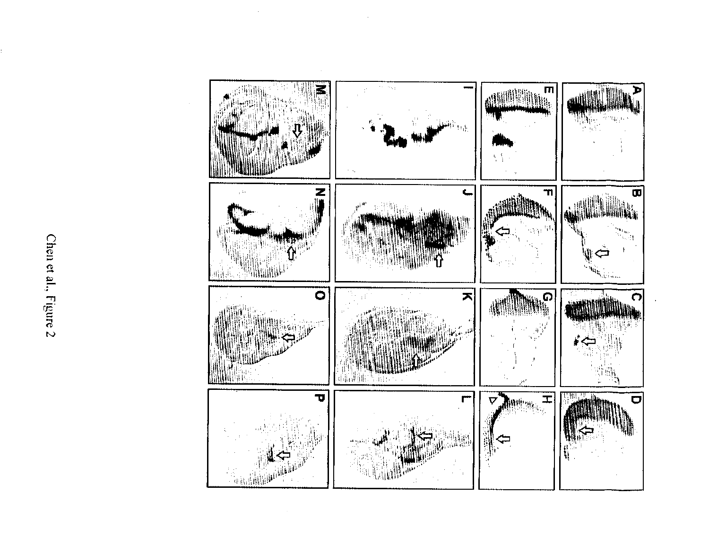**ANNIFERRATION**  $\frac{1}{2} \left( \frac{1}{2} \right)^{\frac{1}{2}}$ **ANIMAL**  $\overline{\mathbf{z}}$  $\blacksquare$ **In** ⇦ siyi ъp **ARTISTICIAN**  $\overline{\bullet}$ **THE OF** Ā  $\hat{\psi}^{\mathcal{V}}$  $\,$   $\,$ NUTI 福岡縣  $\overline{\mathbf{u}}$ **Angelister**  $\nabla$ WS. 哪 ⇔ 

E.

 $\Omega_{\rm{AdS}}$ 

ጋ

 $\overline{\mathbf{a}}$ 

wł.

 $\Omega$ 

 $\overline{\mathbf{C}}$ 

÷,

 $\frac{1}{3}$ 

4f

 $\overline{1}$ 

Ŋ



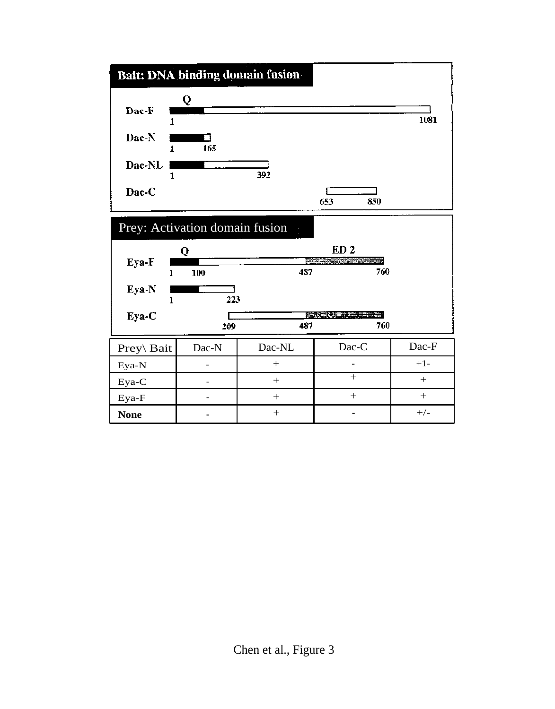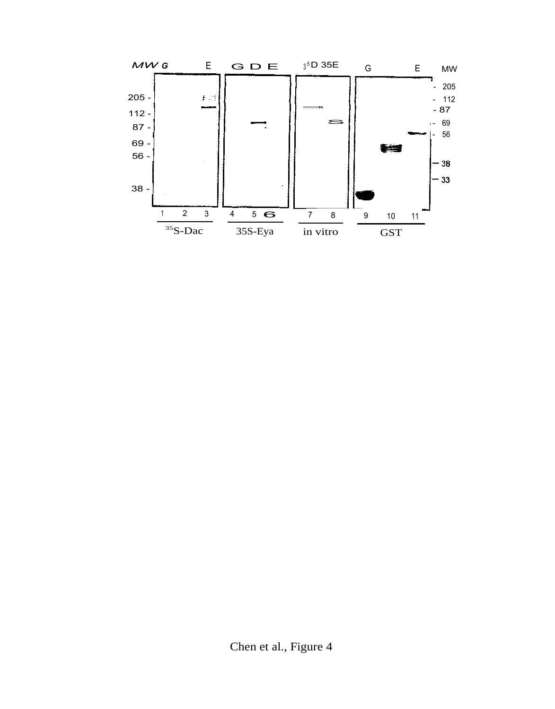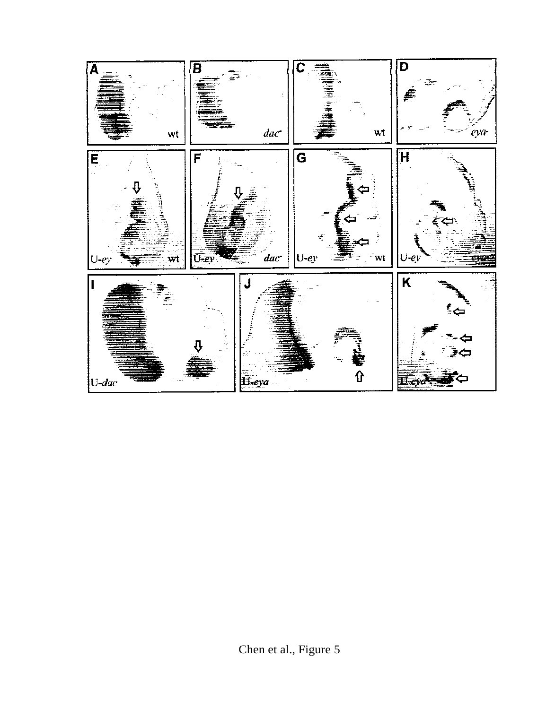